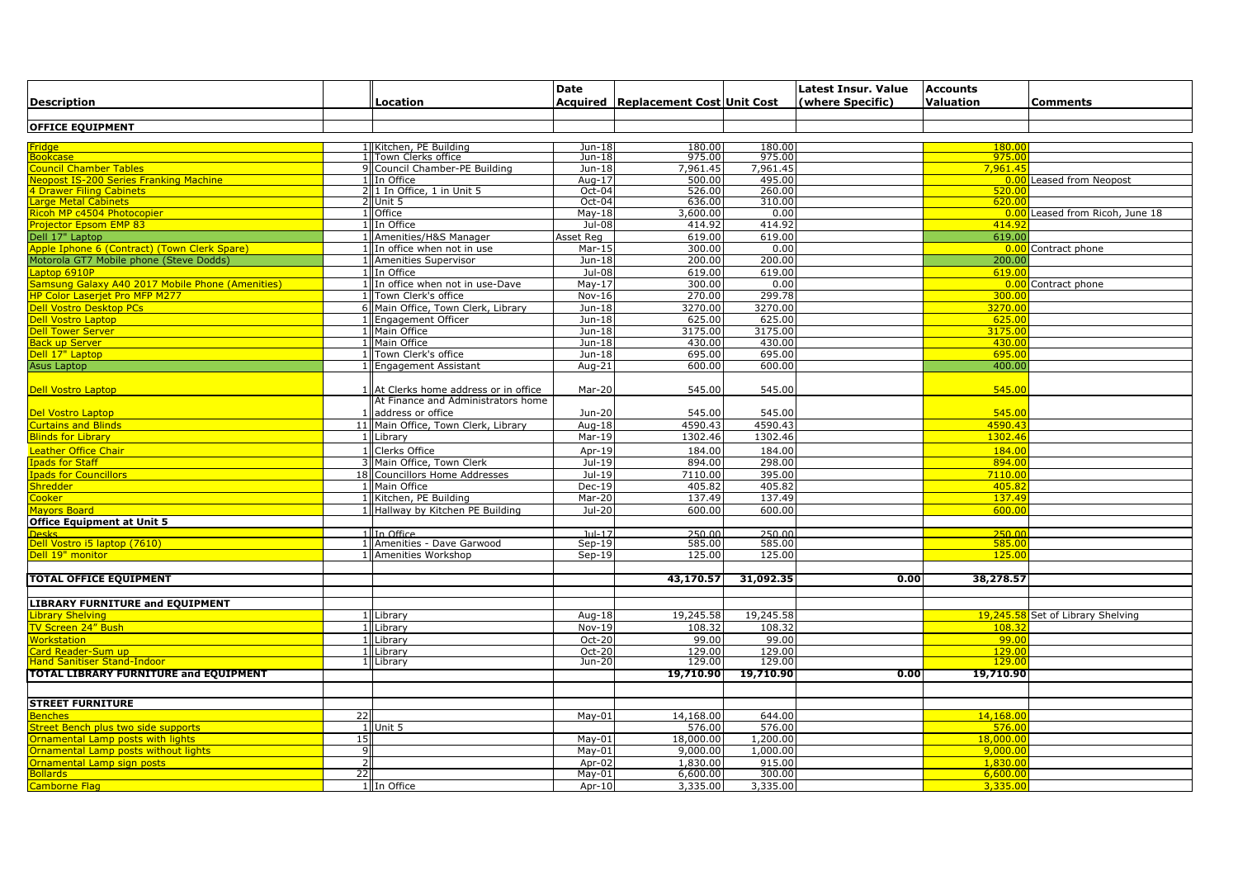|                                                 |                 |                                     | <b>Date</b> |                                     |           | Latest Insur. Value | <b>Accounts</b>  |                                   |
|-------------------------------------------------|-----------------|-------------------------------------|-------------|-------------------------------------|-----------|---------------------|------------------|-----------------------------------|
| <b>Description</b>                              |                 | Location                            |             | Acquired Replacement Cost Unit Cost |           | (where Specific)    | <b>Valuation</b> | Comments                          |
|                                                 |                 |                                     |             |                                     |           |                     |                  |                                   |
| <b>OFFICE EQUIPMENT</b>                         |                 |                                     |             |                                     |           |                     |                  |                                   |
|                                                 |                 |                                     |             |                                     |           |                     |                  |                                   |
| ridge                                           |                 | I Kitchen, PE Building              | Jun-18      | 180.00                              | 180.00    |                     | 180.00           |                                   |
| ookcase                                         |                 | 1 Town Clerks office                | Jun-18      | 975.00                              | 975.00    |                     | 975.00           |                                   |
| <b>Council Chamber Tables</b>                   |                 | 9 Council Chamber-PE Building       | Jun-18      | 7,961.45                            | 7,961.45  |                     | 7,961.45         |                                   |
| leopost IS-200 Series Franking Machine          |                 | 1 In Office                         | Aug- $17$   | 500.00                              | 495.00    |                     |                  | <b>0.00</b> Leased from Neopost   |
| <b>I Drawer Filing Cabinets</b>                 |                 | 21 In Office, 1 in Unit 5           | Oct-04      | 526.00                              | 260.00    |                     | 520.0            |                                   |
| arge Metal Cabinets                             |                 | 2 Unit 5                            | $Oct-04$    | 636.00                              | 310.00    |                     | 620.00           |                                   |
| licoh MP c4504 Photocopier                      |                 | 1 Office                            | $May-18$    | 3,600.00                            | 0.00      |                     | 0.00             | Leased from Ricoh, June 18        |
| Projector Epsom EMP 83                          |                 | 1 In Office                         | Jul-08      | 414.92                              | 414.92    |                     | 414.92           |                                   |
| Dell 17" Laptop                                 |                 | 1 Amenities/H&S Manager             | Asset Reg   | 619.00                              | 619.00    |                     | 619.00           |                                   |
| Apple Iphone 6 (Contract) (Town Clerk Spare)    |                 | 1 In office when not in use         | Mar-15      | 300.00                              | 0.00      |                     |                  | 0.00 Contract phone               |
| Motorola GT7 Mobile phone (Steve Dodds)         |                 | 1 Amenities Supervisor              | Jun-18      | 200.00                              | 200.00    |                     | 200.00           |                                   |
| aptop 6910P                                     |                 | 1 In Office                         | Jul-08      | 619.00                              | 619.00    |                     | 619.00           |                                   |
| amsung Galaxy A40 2017 Mobile Phone (Amenities) |                 | 1 In office when not in use-Dave    | $May-17$    | 300.00                              | 0.00      |                     |                  | 0.00 Contract phone               |
| <b>IP Color Laserjet Pro MFP M277</b>           |                 | Town Clerk's office                 | $Nov-16$    | 270.00                              | 299.78    |                     | 300.00           |                                   |
| <b>Pell Vostro Desktop PCs</b>                  |                 | 6 Main Office, Town Clerk, Library  | Jun-18      | 3270.00                             | 3270.00   |                     | 3270.00          |                                   |
| <b>Dell Vostro Laptop</b>                       |                 | Engagement Officer                  | Jun-18      | 625.00                              | 625.00    |                     | 625.00           |                                   |
| <b>Pell Tower Server</b>                        |                 | Main Office                         | Jun-18      | 3175.00                             | 3175.00   |                     | 3175.00          |                                   |
| ack up Server                                   |                 | 1 Main Office                       | Jun-18      | 430.00                              | 430.00    |                     | 430.00           |                                   |
| Dell 17" Laptop                                 |                 | 1 Town Clerk's office               | Jun-18      | 695.00                              | 695.00    |                     | 695.0            |                                   |
| Asus Laptop                                     |                 | 1 Engagement Assistant              | Aug-21      | 600.00                              | 600.00    |                     | 400.00           |                                   |
|                                                 |                 |                                     |             |                                     |           |                     |                  |                                   |
| <b>Dell Vostro Laptop</b>                       |                 | At Clerks home address or in office | Mar-20      | 545.00                              | 545.00    |                     | 545.00           |                                   |
|                                                 |                 | At Finance and Administrators home  |             |                                     |           |                     |                  |                                   |
| Del Vostro Laptop                               |                 | address or office                   | Jun-20      | 545.00                              | 545.00    |                     | 545.00           |                                   |
| <b>Curtains and Blinds</b>                      |                 | 11 Main Office, Town Clerk, Library | Aug-18      | 4590.43                             | 4590.43   |                     | 4590.43          |                                   |
|                                                 |                 |                                     |             |                                     |           |                     |                  |                                   |
| <b>Blinds for Library</b>                       |                 | 1 Library                           | $Mar-19$    | 1302.46                             | 1302.46   |                     | 1302.46          |                                   |
| Leather Office Chair                            |                 | <b>Clerks Office</b>                | Apr-19      | 184.00                              | 184.00    |                     | 184.00           |                                   |
| pads for Staff                                  |                 | 3 Main Office, Town Clerk           | Jul-19      | 894.00                              | 298.00    |                     | 894.0            |                                   |
| pads for Councillors                            |                 | 18 Councillors Home Addresses       | Jul-19      | 7110.00                             | 395.00    |                     | 7110.0           |                                   |
| hredder                                         |                 | 1 Main Office                       | $Dec-19$    | 405.82                              | 405.82    |                     | 405.8            |                                   |
| Cooker :                                        |                 | 1 Kitchen, PE Building              | Mar-20      | 137.49                              | 137.49    |                     | 137.49           |                                   |
| <b>Mayors Board</b>                             |                 | 1 Hallway by Kitchen PE Building    | $Jul-20$    | 600.00                              | 600.00    |                     | 600.00           |                                   |
| <b>Office Equipment at Unit 5</b>               |                 |                                     |             |                                     |           |                     |                  |                                   |
|                                                 |                 | 1 In Office                         | $Jul-17$    | 250.00                              | 250.00    |                     | 250.00           |                                   |
| Oell Vostro i5 laptop (7610)                    |                 | 1 Amenities - Dave Garwood          | $Sep-19$    | 585.00                              | 585.00    |                     | 585.00           |                                   |
| Dell 19" monitor                                |                 | 1 Amenities Workshop                | $Sep-19$    | 125.00                              | 125.00    |                     | 125.0            |                                   |
|                                                 |                 |                                     |             |                                     |           |                     |                  |                                   |
| <b>TOTAL OFFICE EQUIPMENT</b>                   |                 |                                     |             | 43,170.57                           | 31,092.35 | 0.00                | 38,278.57        |                                   |
|                                                 |                 |                                     |             |                                     |           |                     |                  |                                   |
| <b>LIBRARY FURNITURE and EQUIPMENT</b>          |                 |                                     |             |                                     |           |                     |                  |                                   |
| ibrary Shelving                                 |                 | 1 Library                           | Aug-18      | 19,245.58                           | 19,245.58 |                     |                  | 19,245.58 Set of Library Shelving |
| V Screen 24" Bush                               |                 | Library                             | $Nov-19$    | 108.32                              | 108.32    |                     | 108.32           |                                   |
| <b>Vorkstation</b>                              |                 | Library                             | Oct-20      | 99.00                               | 99.00     |                     | 99.00            |                                   |
| ard Reader-Sum up                               |                 | Library                             | Oct-20      | 129.00                              | 129.00    |                     | 129.00           |                                   |
| <b>Hand Sanitiser Stand-Indoor</b>              |                 | 1 Library                           | Jun-20      | 129.00                              | 129.00    |                     | 129.00           |                                   |
| <b>TOTAL LIBRARY FURNITURE and EQUIPMENT</b>    |                 |                                     |             | 19,710.90                           | 19,710.90 | 0.00                | 19,710.90        |                                   |
|                                                 |                 |                                     |             |                                     |           |                     |                  |                                   |
|                                                 |                 |                                     |             |                                     |           |                     |                  |                                   |
| <b>STREET FURNITURE</b>                         |                 |                                     |             |                                     |           |                     |                  |                                   |
| <b>Benches</b>                                  | $\overline{22}$ |                                     | $May-01$    | 14,168.00                           | 644.00    |                     | 14,168.00        |                                   |
| treet Bench plus two side supports              |                 | 1 Unit 5                            |             | 576.00                              | 576.00    |                     | 576.00           |                                   |
| <b>Ornamental Lamp posts with lights</b>        | 15              |                                     | $May-01$    | 18,000.00                           | 1,200.00  |                     | 18,000.00        |                                   |
| <b>Inamental Lamp posts without lights</b>      | q               |                                     | $May-01$    | 9,000.00                            | 1,000.00  |                     | 9,000.00         |                                   |
| Irnamental Lamp sign posts                      | $\overline{2}$  |                                     | Apr-02      | 1,830.00                            | 915.00    |                     | 1.830.00         |                                   |
| <b>Sollards</b>                                 | 22              |                                     | $May-01$    | 6,600.00                            | 300.00    |                     | 6,600.00         |                                   |
| Camborne Flag                                   |                 | 1 In Office                         | $Apr-10$    | 3,335.00                            | 3,335.00  |                     | 3,335.00         |                                   |
|                                                 |                 |                                     |             |                                     |           |                     |                  |                                   |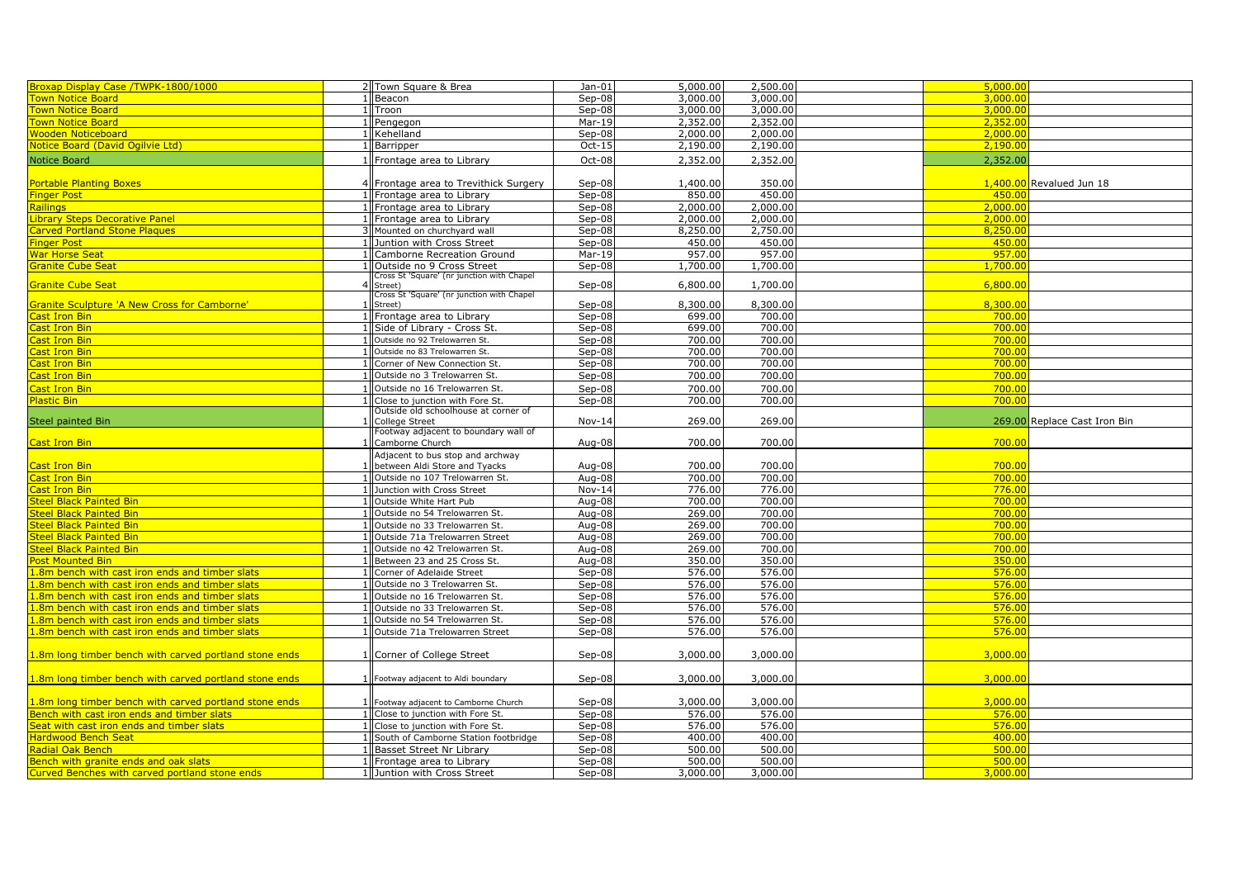| Broxap Display Case /TWPK-1800/1000                                                              | 2 Town Square & Brea                                                    | $Jan-01$         | 5,000.00 | 2,500.00 | 5,000.00 |                              |
|--------------------------------------------------------------------------------------------------|-------------------------------------------------------------------------|------------------|----------|----------|----------|------------------------------|
| own Notice Board                                                                                 | 1 Beacon                                                                | Sep-08           | 3,000.00 | 3,000.00 | 3,000.00 |                              |
| own Notice Board                                                                                 | 1 Troon                                                                 | Sep-08           | 3,000.00 | 3,000.00 | 3,000,00 |                              |
| own Notice Board                                                                                 | 1 Pengegon                                                              | $Mar-19$         | 2,352.00 | 2,352.00 | 2,352.00 |                              |
| Vooden Noticeboard                                                                               | Kehelland                                                               | Sep-08           | 2,000.00 | 2,000.00 | 2,000.00 |                              |
| <b>Notice Board (David Ogilvie Ltd)</b>                                                          | 1 Barripper                                                             | Oct-15           | 2,190.00 | 2,190.00 | 2,190.00 |                              |
| Notice Board                                                                                     | 1 Frontage area to Library                                              | Oct-08           | 2,352.00 | 2,352.00 | 2,352.00 |                              |
|                                                                                                  |                                                                         |                  |          |          |          |                              |
| <b>Portable Planting Boxes</b>                                                                   | 4 Frontage area to Trevithick Surgery                                   | Sep-08           | 1,400.00 | 350.00   |          | 1,400.00 Revalued Jun 18     |
| inger Post                                                                                       | 1 I Frontage area to Librarv                                            | Sep-08           | 850.00   | 450.00   | 450.00   |                              |
| tailings                                                                                         | 1 Frontage area to Library                                              | Sep-08           | 2,000.00 | 2,000.00 | 2,000.00 |                              |
| <b>ibrary Steps Decorative Panel</b>                                                             | Frontage area to Library                                                | Sep-08           | 2,000.00 | 2,000.00 | 2,000.00 |                              |
| <b>Carved Portland Stone Plaques</b>                                                             | Mounted on churchyard wall                                              | Sep-08           | 8,250.00 | 2,750.00 | 8,250,00 |                              |
| inger Post                                                                                       | Juntion with Cross Street                                               | Sep-08           | 450.00   | 450.00   | 450.00   |                              |
| <b>Nar Horse Seat</b>                                                                            | Camborne Recreation Ground                                              | Mar-19           | 957.00   | 957.00   | 957.00   |                              |
| Granite Cube Seat                                                                                |                                                                         |                  | 1,700.00 | 1,700.00 | 1,700.00 |                              |
|                                                                                                  | Outside no 9 Cross Street<br>Cross St 'Square' (nr junction with Chapel | Sep-08           |          |          |          |                              |
| Granite Cube Seat                                                                                | Street)                                                                 | Sep-08           | 6,800.00 | 1,700.00 | 6,800.00 |                              |
|                                                                                                  | Cross St 'Square' (nr junction with Chapel                              |                  |          |          |          |                              |
| <b>Granite Sculpture 'A New Cross for Camborne'</b>                                              | Street)                                                                 | Sep-08           | 8,300.00 | 8,300.00 | 8,300.00 |                              |
| Cast Iron Bin                                                                                    | 1 Frontage area to Library                                              | Sep-08           | 699.00   | 700.00   | 700.00   |                              |
| Cast Iron Bin                                                                                    | 1 Side of Library - Cross St.                                           | $Sep-08$         | 699.00   | 700.00   | 700.00   |                              |
| ast Iron Bin                                                                                     | 1 Outside no 92 Trelowarren St.                                         | Sep-08           | 700.00   | 700.00   | 700.00   |                              |
| ast Iron Bin                                                                                     | Outside no 83 Trelowarren St.                                           | Sep-08           | 700.00   | 700.00   | 700.00   |                              |
| ast Iron Bin                                                                                     | Corner of New Connection St.                                            | Sep-08           | 700.00   | 700.00   | 700.00   |                              |
| ast Iron Bin                                                                                     | 1 Outside no 3 Trelowarren St.                                          | Sep-08           | 700.00   | 700.00   | 700.00   |                              |
| Cast Iron Bin                                                                                    | Outside no 16 Trelowarren St.                                           | Sep-08           | 700.00   | 700.00   | 700.00   |                              |
| lastic Bin                                                                                       | <b>IClose to junction with Fore St.</b>                                 | Sep-08           | 700.00   | 700.00   | 700.00   |                              |
|                                                                                                  | Outside old schoolhouse at corner of                                    |                  |          |          |          |                              |
| Steel painted Bin                                                                                | College Street                                                          | Nov-14           | 269.00   | 269.00   |          | 269.00 Replace Cast Iron Bin |
|                                                                                                  | Footway adjacent to boundary wall of                                    |                  |          |          |          |                              |
| <b>Cast Iron Bin</b>                                                                             | Camborne Church                                                         | Aug-08           | 700.00   | 700.00   | 700.00   |                              |
|                                                                                                  | Adjacent to bus stop and archway                                        |                  |          |          |          |                              |
| Cast Iron Bin                                                                                    | between Aldi Store and Tyacks                                           | Aug-08           | 700.00   | 700.00   | 700.00   |                              |
| Cast Iron Bin                                                                                    | 1 Outside no 107 Trelowarren St.                                        | Aug-08           | 700.00   | 700.00   | 700.00   |                              |
| ast Iron Bin                                                                                     | 1 Junction with Cross Street                                            | $Nov-14$         | 776.00   | 776.00   | 776.00   |                              |
| teel Black Painted Bin                                                                           | Outside White Hart Pub                                                  | Aug-08           | 700.00   | 700.00   | 700.00   |                              |
| <b>Steel Black Painted Bin</b>                                                                   | Outside no 54 Trelowarren St.                                           | Aug-08           | 269.00   | 700.00   | 700.00   |                              |
| <b>Steel Black Painted Bin</b>                                                                   | Outside no 33 Trelowarren St.                                           | Aug-08           | 269.00   | 700.00   | 700.00   |                              |
| teel Black Painted Bin                                                                           | 1 Outside 71a Trelowarren Street                                        | Aug-08           | 269.00   | 700.00   | 700.00   |                              |
| <b>Steel Black Painted Bin</b>                                                                   | Outside no 42 Trelowarren St.                                           | Aug-08           | 269.00   | 700.00   | 700.00   |                              |
| ost Mounted Bin                                                                                  | 1 Between 23 and 25 Cross St.                                           | Aug-08           | 350.00   | 350.00   | 350.00   |                              |
| .8m bench with cast iron ends and timber slats                                                   | 1 Corner of Adelaide Street                                             | Sep-08           | 576.00   | 576.00   | 576.00   |                              |
| .8m bench with cast iron ends and timber slats                                                   | 1 Outside no 3 Trelowarren St.                                          | Sep-08           | 576.00   | 576.00   | 576.00   |                              |
| .8m bench with cast iron ends and timber slats                                                   | 1 Outside no 16 Trelowarren St.                                         | $Sep-08$         | 576.00   | 576.00   | 576.00   |                              |
|                                                                                                  |                                                                         |                  | 576.00   | 576.00   | 576.00   |                              |
| .8m bench with cast iron ends and timber slats<br>.8m bench with cast iron ends and timber slats | 1 Outside no 33 Trelowarren St.<br>1 Outside no 54 Trelowarren St.      | Sep-08<br>Sep-08 | 576.00   | 576.00   | 576.00   |                              |
|                                                                                                  |                                                                         |                  |          |          | 576.00   |                              |
| .8m bench with cast iron ends and timber slats                                                   | 1 Outside 71a Trelowarren Street                                        | Sep-08           | 576.00   | 576.00   |          |                              |
| .8m long timber bench with carved portland stone ends                                            | Corner of College Street                                                | Sep-08           | 3,000.00 | 3,000.00 | 3,000.00 |                              |
|                                                                                                  |                                                                         |                  |          |          |          |                              |
| L.8m long timber bench with carved portland stone ends                                           | 1 Footway adjacent to Aldi boundary                                     | Sep-08           | 3,000.00 | 3,000.00 | 3,000.00 |                              |
|                                                                                                  |                                                                         |                  |          |          |          |                              |
| .8m long timber bench with carved portland stone ends                                            | Footway adjacent to Camborne Church                                     | Sep-08           | 3,000.00 | 3,000.00 | 3,000.00 |                              |
| Bench with cast iron ends and timber slats                                                       | 1 Close to junction with Fore St.                                       | Sep-08           | 576.00   | 576.00   | 576.00   |                              |
| eat with cast iron ends and timber slats                                                         | 1 Close to junction with Fore St.                                       | Sep-08           | 576.00   | 576.00   | 576.00   |                              |
| <b>Hardwood Bench Seat</b>                                                                       | South of Camborne Station footbridge                                    | Sep-08           | 400.00   | 400.00   | 400.00   |                              |
| adial Oak Bench                                                                                  | Basset Street Nr Library                                                | Sep-08           | 500.00   | 500.00   | 500.00   |                              |
| Bench with granite ends and oak slats                                                            | 1 Frontage area to Library                                              | Sep-08           | 500.00   | 500.00   | 500.00   |                              |
| Curved Benches with carved portland stone ends                                                   | 1 Juntion with Cross Street                                             | Sep-08           | 3,000.00 | 3,000.00 | 3,000.00 |                              |
|                                                                                                  |                                                                         |                  |          |          |          |                              |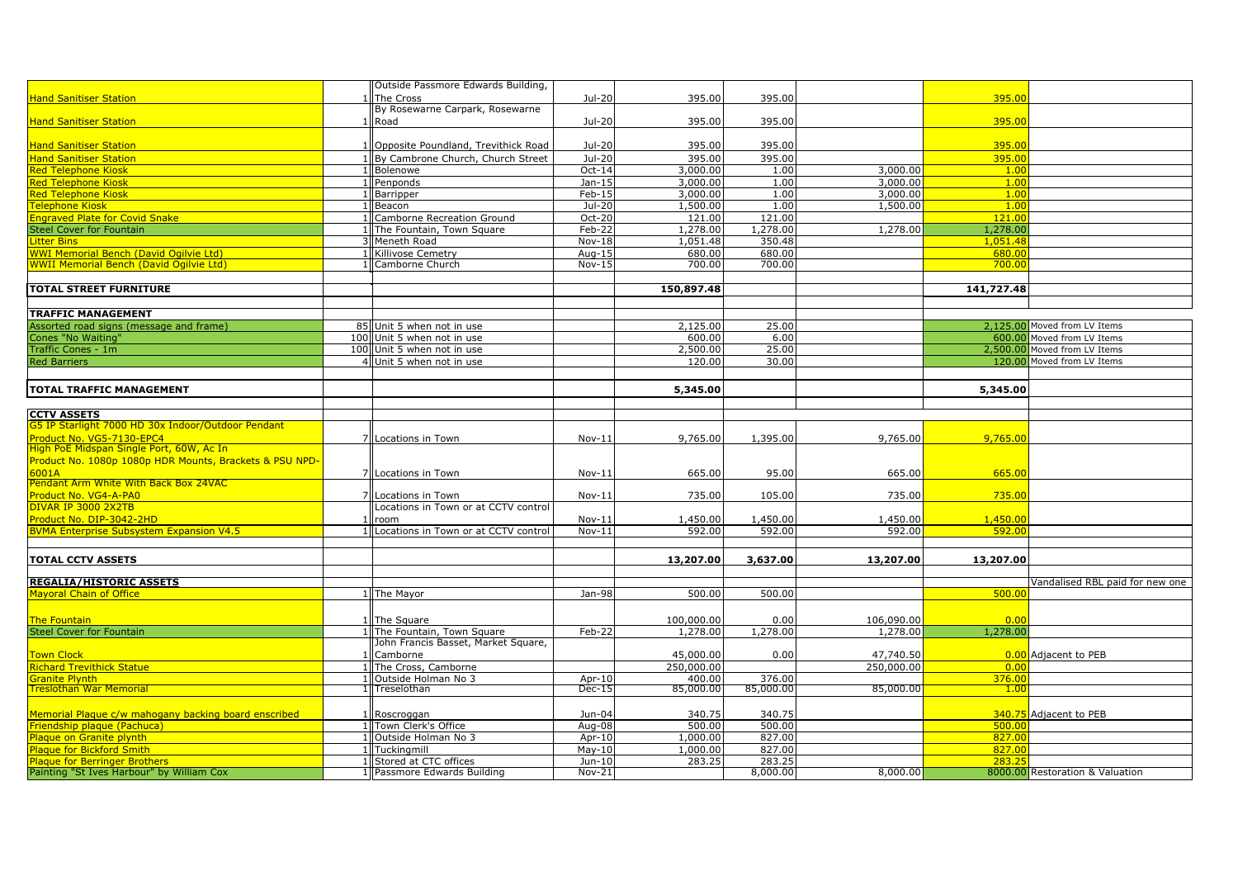|                                                                          |     | Outside Passmore Edwards Building,           |          |            |           |            |            |                                 |
|--------------------------------------------------------------------------|-----|----------------------------------------------|----------|------------|-----------|------------|------------|---------------------------------|
| <b>Hand Sanitiser Station</b>                                            |     | The Cross<br>By Rosewarne Carpark, Rosewarne | Jul-20   | 395.00     | 395.00    |            | 395.00     |                                 |
| <b>Hand Sanitiser Station</b>                                            |     | Road                                         | Jul-20   | 395.00     | 395.00    |            | 395.00     |                                 |
|                                                                          |     |                                              |          |            |           |            |            |                                 |
| <b>Hand Sanitiser Station</b>                                            |     | 1 Opposite Poundland, Trevithick Road        | Jul-20   | 395.00     | 395.00    |            | 395.00     |                                 |
| <b>Hand Sanitiser Station</b>                                            |     | 1 By Cambrone Church, Church Street          | $Jul-20$ | 395.00     | 395.00    |            | 395.00     |                                 |
| <b>Red Telephone Kiosk</b>                                               |     | 1 Bolenowe                                   | Oct-14   | 3,000.00   | 1.00      | 3,000.00   | 1.00       |                                 |
| <b>Red Telephone Kiosk</b>                                               |     | Penponds                                     | Jan-15   | 3,000.00   | 1.00      | 3,000.00   | 1,00       |                                 |
| <b>Red Telephone Kiosk</b>                                               |     | Barripper                                    | $Feb-15$ | 3,000.00   | 1.00      | 3,000.00   | 1.00       |                                 |
| Telephone Kiosk                                                          |     | Beacon                                       | Jul-20   | 1,500.00   | 1.00      | 1,500.00   | 1,00       |                                 |
| <b>Engraved Plate for Covid Snake</b>                                    |     | Camborne Recreation Ground                   | Oct-20   | 121.00     | 121.00    |            | 121.00     |                                 |
| <b>Steel Cover for Fountain</b>                                          |     | The Fountain, Town Square                    | Feb-22   | 1,278.00   | 1,278.00  | 1,278.00   | 1,278.00   |                                 |
| <b>Litter Bins</b>                                                       |     | 3 Meneth Road                                | Nov-18   | 1,051.48   | 350.48    |            | 1.051.48   |                                 |
| <b>WWI Memorial Bench (David Ogilvie Ltd)</b>                            |     | 1 Killivose Cemetry                          | Aug-15   | 680.00     | 680.00    |            | 680.00     |                                 |
| <b>WWII Memorial Bench (David Ogilvie Ltd)</b>                           |     | 1 Camborne Church                            | $Nov-15$ | 700.00     | 700.00    |            | 700.00     |                                 |
|                                                                          |     |                                              |          |            |           |            |            |                                 |
| <b>TOTAL STREET FURNITURE</b>                                            |     |                                              |          | 150,897.48 |           |            | 141,727.48 |                                 |
|                                                                          |     |                                              |          |            |           |            |            |                                 |
| <b>TRAFFIC MANAGEMENT</b>                                                |     |                                              |          |            |           |            |            |                                 |
| Assorted road signs (message and frame)                                  |     | 85 Unit 5 when not in use                    |          | 2,125.00   | 25.00     |            |            | 2,125.00 Moved from LV Items    |
| Cones "No Waiting"                                                       | 100 | Unit 5 when not in use                       |          | 600.00     | 6.00      |            | 600.00     | Moved from LV Items             |
| Traffic Cones - 1m                                                       |     | 100 Unit 5 when not in use                   |          | 2,500.00   | 25.00     |            |            | 2,500.00 Moved from LV Items    |
| <b>Red Barriers</b>                                                      |     | 4 Unit 5 when not in use                     |          | 120.00     | 30.00     |            |            | 120.00 Moved from LV Items      |
|                                                                          |     |                                              |          |            |           |            |            |                                 |
| <b>TOTAL TRAFFIC MANAGEMENT</b>                                          |     |                                              |          | 5,345.00   |           |            | 5,345.00   |                                 |
|                                                                          |     |                                              |          |            |           |            |            |                                 |
|                                                                          |     |                                              |          |            |           |            |            |                                 |
| <b>CCTV ASSETS</b><br>G5 IP Starlight 7000 HD 30x Indoor/Outdoor Pendant |     |                                              |          |            |           |            |            |                                 |
| Product No. VG5-7130-EPC4                                                |     | 7 Locations in Town                          | $Nov-11$ | 9,765.00   | 1,395.00  | 9,765.00   | 9,765.00   |                                 |
| High PoE Midspan Single Port, 60W, Ac In                                 |     |                                              |          |            |           |            |            |                                 |
| Product No. 1080p 1080p HDR Mounts, Brackets & PSU NPD-                  |     |                                              |          |            |           |            |            |                                 |
| 6001A                                                                    |     | 7 Locations in Town                          | $Nov-11$ | 665.00     | 95.00     | 665.00     | 665.00     |                                 |
| Pendant Arm White With Back Box 24VAC                                    |     |                                              |          |            |           |            |            |                                 |
| Product No. VG4-A-PA0                                                    |     | Locations in Town                            | $Nov-11$ | 735.00     | 105.00    | 735.00     | 735.00     |                                 |
| DIVAR IP 3000 2X2TB                                                      |     | Locations in Town or at CCTV control         |          |            |           |            |            |                                 |
| Product No. DIP-3042-2HD                                                 |     | room                                         | $Nov-11$ | 1,450.00   | 1,450.00  | 1,450.00   | 1,450.00   |                                 |
| <b>BVMA Enterprise Subsystem Expansion V4.5</b>                          |     | Locations in Town or at CCTV control         | $Nov-11$ | 592.00     | 592.00    | 592.00     | 592.00     |                                 |
|                                                                          |     |                                              |          |            |           |            |            |                                 |
| <b>TOTAL CCTV ASSETS</b>                                                 |     |                                              |          | 13,207.00  | 3,637.00  | 13,207.00  | 13,207.00  |                                 |
|                                                                          |     |                                              |          |            |           |            |            |                                 |
| <b>REGALIA/HISTORIC ASSETS</b>                                           |     |                                              |          |            |           |            |            | Vandalised RBL paid for new one |
| <b>Mayoral Chain of Office</b>                                           |     | 1 The Mayor                                  | Jan-98   | 500.00     | 500.00    |            | 500.00     |                                 |
|                                                                          |     |                                              |          |            |           |            |            |                                 |
| The Fountain                                                             |     | 1 The Square                                 |          | 100,000.00 | 0.00      | 106,090.00 | 0.00       |                                 |
| <b>Steel Cover for Fountain</b>                                          |     | 1 The Fountain, Town Square                  | Feb-22   | 1,278.00   | 1,278.00  | 1,278.00   | 1,278.00   |                                 |
|                                                                          |     | John Francis Basset, Market Square,          |          |            |           |            |            |                                 |
| Town Clock                                                               |     | Camborne                                     |          | 45,000.00  | 0.00      | 47,740.50  |            | 0.00 Adjacent to PEB            |
| <b>Richard Trevithick Statue</b>                                         |     | 1 The Cross, Camborne                        |          | 250,000.00 |           | 250,000.00 | 0.00       |                                 |
| Granite Plynth                                                           |     | Outside Holman No 3                          | Apr-10   | 400.00     | 376.00    |            | 376.00     |                                 |
| Treslothan War Memorial                                                  |     | 1 ITreselothan                               | $Dec-15$ | 85,000.00  | 85,000.00 | 85,000.00  | 1.00       |                                 |
|                                                                          |     |                                              |          |            |           |            |            |                                 |
| Memorial Plaque c/w mahogany backing board enscribed                     |     | Roscroggan                                   | Jun-04   | 340.75     | 340.75    |            |            | 340.75 Adjacent to PEB          |
| <b>Friendship plaque (Pachuca)</b>                                       |     | Town Clerk's Office                          | Aug-08   | 500.00     | 500.00    |            | 500.00     |                                 |
| Plaque on Granite plynth                                                 |     | 1 Outside Holman No 3                        | Apr-10   | 1,000.00   | 827.00    |            | 827.00     |                                 |
| <b>Plaque for Bickford Smith</b>                                         |     | Tuckinamill                                  | $May-10$ | 1,000.00   | 827.00    |            | 827.00     |                                 |
| <b>Plaque for Berringer Brothers</b>                                     |     | Stored at CTC offices                        | Jun-10   | 283.25     | 283.25    |            | 283.25     |                                 |
| Painting "St Ives Harbour" by William Cox                                |     | 1 Passmore Edwards Building                  | $Nov-21$ |            | 8,000.00  | 8,000.00   |            | 8000.00 Restoration & Valuation |
|                                                                          |     |                                              |          |            |           |            |            |                                 |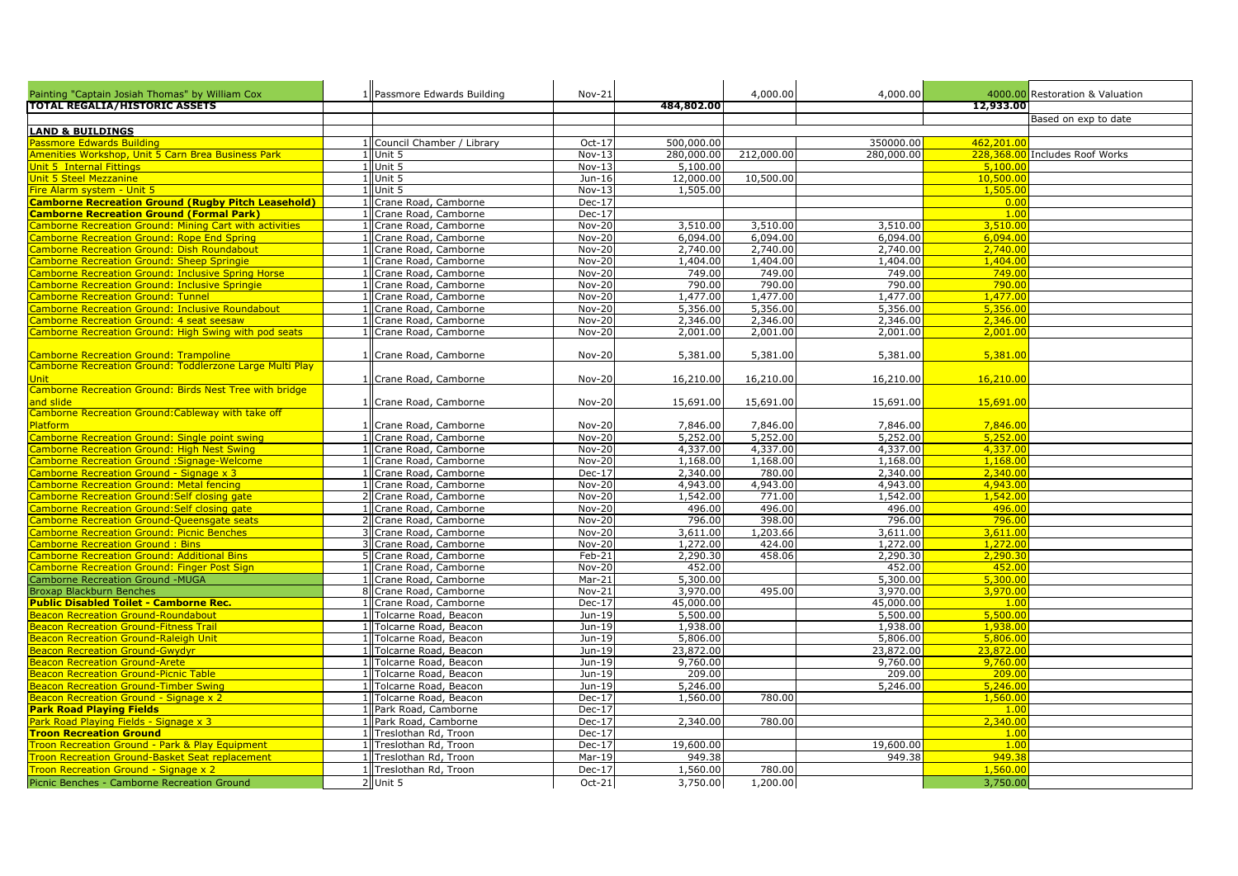| Painting "Captain Josiah Thomas" by William Cox                      | 1 Passmore Edwards Building                      | Nov-21           |                      | 4,000.00             | 4,000.00             |                      | 4000.00 Restoration & Valuation |
|----------------------------------------------------------------------|--------------------------------------------------|------------------|----------------------|----------------------|----------------------|----------------------|---------------------------------|
| <b>TOTAL REGALIA/HISTORIC ASSETS</b>                                 |                                                  |                  | 484,802.00           |                      |                      | 12,933.00            |                                 |
|                                                                      |                                                  |                  |                      |                      |                      |                      | Based on exp to date            |
| <b>LAND &amp; BUILDINGS</b>                                          |                                                  |                  |                      |                      |                      |                      |                                 |
| assmore Edwards Building                                             | 1 Council Chamber / Library                      | Oct-17           | 500,000.00           |                      | 350000.00            | 462.201.00           |                                 |
| menities Workshop, Unit 5 Carn Brea Business Park                    | 1 Unit 5                                         | $Nov-13$         | 280,000.00           | 212,000.00           | 280,000.00           |                      | 228,368.00 Includes Roof Works  |
| <b>Jnit 5 Internal Fittings</b>                                      | Unit 5                                           | $Nov-13$         | 5,100.00             |                      |                      | 5,100.00             |                                 |
| <b>Jnit 5 Steel Mezzanine</b>                                        | Unit 5                                           | Jun-16           | 12,000.00            | 10,500.00            |                      | 10,500.00            |                                 |
| ire Alarm system - Unit 5                                            | 1 Unit 5                                         | Nov-13           | 1,505.00             |                      |                      | 1,505.00             |                                 |
| <b>Camborne Recreation Ground (Rugby Pitch Leasehold)</b>            | Crane Road, Camborne                             | $Dec-17$         |                      |                      |                      | 0.00                 |                                 |
| <b>Camborne Recreation Ground (Formal Park)</b>                      | Crane Road, Camborne                             | $Dec-17$         |                      |                      |                      | 1.00                 |                                 |
| amborne Recreation Ground: Mining Cart with activities               | Crane Road, Camborne                             | <b>Nov-20</b>    | 3,510.00             | 3,510.00             | 3,510.00             | 3,510.00             |                                 |
| amborne Recreation Ground: Rope End Spring                           | Crane Road, Camborne                             | Nov-20           | 6,094.00             | 6,094.00             | 6,094.00             | 6,094.00             |                                 |
| amborne Recreation Ground: Dish Roundabout                           | Crane Road, Camborne                             | Nov-20           | 2,740.00             | 2,740.00             | 2,740.00             | 2.740.00             |                                 |
| <b>Camborne Recreation Ground: Sheep Springie</b>                    | Crane Road, Camborne                             | Nov-20           | 1,404.00             | 1,404.00             | 1,404.00             | 1,404.00             |                                 |
| amborne Recreation Ground: Inclusive Spring Horse                    | Crane Road, Camborne                             | Nov-20           | 749.00               | 749.00               | 749.00               | 749.00               |                                 |
| Camborne Recreation Ground: Inclusive Springie                       | Crane Road, Camborne                             | Nov-20           | 790.00               | 790.00               | 790.00               | 790.00               |                                 |
| <b>Camborne Recreation Ground: Tunnel</b>                            | Crane Road, Camborne                             | Nov-20           | 1,477.00             | 1,477.00             | 1,477.00             | 1,477.00             |                                 |
| amborne Recreation Ground: Inclusive Roundabout                      | Crane Road, Camborne                             | Nov-20           | 5,356.00             | 5,356.00             | 5,356.00             | 5,356.00             |                                 |
| amborne Recreation Ground: 4 seat seesaw                             | Crane Road, Camborne                             | Nov-20           | 2,346.00             | 2,346.00             | 2,346.00             | 2,346.00             |                                 |
| amborne Recreation Ground: High Swing with pod seats                 | Crane Road, Camborne                             | Nov-20           | 2,001.00             | 2,001.00             | 2,001.00             | 2,001.00             |                                 |
|                                                                      |                                                  |                  |                      |                      |                      |                      |                                 |
| Camborne Recreation Ground: Trampoline                               | 1 Crane Road, Camborne                           | <b>Nov-20</b>    | 5,381.00             | 5,381.00             | 5,381.00             | 5,381.00             |                                 |
| Camborne Recreation Ground: Toddlerzone Large Multi Play             |                                                  |                  |                      |                      |                      |                      |                                 |
| <b>Jnit</b>                                                          | 1 Crane Road, Camborne                           | <b>Nov-20</b>    | 16,210.00            | 16,210.00            | 16,210.00            | 16,210.00            |                                 |
| Camborne Recreation Ground: Birds Nest Tree with bridge              |                                                  |                  |                      |                      |                      |                      |                                 |
| <mark>ınd slide</mark>                                               | 1 Crane Road, Camborne                           | <b>Nov-20</b>    | 15,691.00            | 15,691.00            | 15,691.00            | 15,691.00            |                                 |
| Camborne Recreation Ground: Cableway with take off<br><b>latform</b> |                                                  |                  |                      |                      |                      |                      |                                 |
| amborne Recreation Ground: Single point swing                        | 1 Crane Road, Camborne<br>1 Crane Road, Camborne | <b>Nov-20</b>    | 7,846.00<br>5,252.00 | 7,846.00<br>5,252.00 | 7,846.00<br>5,252.00 | 7,846.00<br>5,252.00 |                                 |
| amborne Recreation Ground: High Nest Swing                           | 1 Crane Road, Camborne                           | Nov-20<br>Nov-20 | 4,337.00             | 4,337.00             | 4,337.00             | 4,337.00             |                                 |
| amborne Recreation Ground :Signage-Welcome                           | 1 Crane Road, Camborne                           | Nov-20           | 1,168.00             | 1,168.00             | 1,168.00             | 1,168,00             |                                 |
| amborne Recreation Ground - Signage x 3                              | Crane Road, Camborne                             | $Dec-17$         | 2,340.00             | 780.00               | 2,340.00             | 2,340.00             |                                 |
| amborne Recreation Ground: Metal fencing                             | Crane Road, Camborne                             | <b>Nov-20</b>    | 4,943.00             | 4,943.00             | 4,943.00             | 4,943.00             |                                 |
| amborne Recreation Ground: Self closing gate                         | Crane Road, Camborne                             | $Nov-20$         | 1,542.00             | 771.00               | 1,542.00             | 1,542.00             |                                 |
| amborne Recreation Ground: Self closing gate                         | Crane Road, Camborne                             | Nov-20           | 496.00               | 496.00               | 496.00               | 496.00               |                                 |
| amborne Recreation Ground-Queensgate seats                           | Crane Road, Camborne                             | Nov-20           | 796.00               | 398.00               | 796.00               | 796.00               |                                 |
| Camborne Recreation Ground: Picnic Benches                           | Crane Road, Camborne                             | <b>Nov-20</b>    | 3,611.00             | 1,203.66             | 3,611.00             | 3.611.00             |                                 |
| amborne Recreation Ground: Bins                                      | Crane Road, Camborne                             | <b>Nov-20</b>    | 1,272.00             | 424.00               | 1,272.00             | 1,272.00             |                                 |
| <b>Camborne Recreation Ground: Additional Bins</b>                   | Crane Road, Camborne                             | Feb-21           | 2,290.30             | 458.06               | 2,290.30             | 2,290.30             |                                 |
| <b>Camborne Recreation Ground: Finger Post Sign</b>                  | Crane Road, Camborne                             | Nov-20           | 452.00               |                      | 452.00               | 452.00               |                                 |
| <b>Camborne Recreation Ground -MUGA</b>                              | Crane Road, Camborne                             | $Mar-21$         | 5,300.00             |                      | 5,300.00             | 5,300.00             |                                 |
| <b>Broxap Blackburn Benches</b>                                      | 8 Crane Road, Camborne                           | Nov-21           | 3,970.00             | 495.00               | 3,970.00             | 3,970.00             |                                 |
| <b>Public Disabled Toilet - Camborne Rec.</b>                        | Crane Road, Camborne                             | Dec-17           | 45,000.00            |                      | 45,000.00            | 1.00                 |                                 |
| <b>Beacon Recreation Ground-Roundabout</b>                           | <b>Tolcarne Road, Beacon</b>                     | Jun-19           | 5,500.00             |                      | 5,500.00             | 5,500.00             |                                 |
| eacon Recreation Ground-Fitness Trail                                | <b>Tolcarne Road, Beacon</b>                     | Jun-19           | 1,938.00             |                      | 1,938.00             | 1,938.00             |                                 |
| <b>Seacon Recreation Ground-Raleigh Unit</b>                         | <b>Folcarne Road, Beacon</b>                     | Jun-19           | 5,806.00             |                      | 5,806.00             | 5,806.00             |                                 |
| <b>Beacon Recreation Ground-Gwydyr</b>                               | <b>Folcarne Road, Beacon</b>                     | Jun-19           | 23,872.00            |                      | 23,872.00            | 23,872.00            |                                 |
| Beacon Recreation Ground-Arete                                       | Folcarne Road, Beacon                            | Jun-19           | 9,760.00             |                      | 9,760.00             | 9,760.00             |                                 |
| <b>Beacon Recreation Ground-Picnic Table</b>                         | <b>Folcarne Road, Beacon</b>                     | Jun-19           | 209.00               |                      | 209.00               | 209.00               |                                 |
| <b>Beacon Recreation Ground-Timber Swing</b>                         | <b>Tolcarne Road, Beacon</b>                     | Jun-19           | 5,246.00             |                      | 5,246.00             | 5,246.00             |                                 |
| <b>Beacon Recreation Ground - Signage x 2</b>                        | <b>Tolcarne Road, Beacon</b>                     | $Dec-17$         | 1,560.00             | 780.00               |                      | 1,560.00             |                                 |
| <b>Park Road Playing Fields</b>                                      | Park Road, Camborne                              | Dec-17           |                      |                      |                      | 1.00                 |                                 |
| ark Road Playing Fields - Signage x 3                                | 1 Park Road, Camborne                            | $Dec-17$         | 2,340.00             | 780.00               |                      | 2,340.00             |                                 |
| <b>Froon Recreation Ground</b>                                       | Treslothan Rd, Troon                             | $Dec-17$         |                      |                      |                      | 1.00                 |                                 |
| roon Recreation Ground - Park & Play Equipment                       | Treslothan Rd, Troon<br>-1 IF                    | Dec-17           | 19,600.00            |                      | 19,600.00            | 1.00                 |                                 |
| roon Recreation Ground-Basket Seat replacement                       | Treslothan Rd, Troon                             | Mar-19           | 949.38               |                      | 949.38               | 949.38               |                                 |
| roon Recreation Ground - Signage x 2                                 | 1 Treslothan Rd, Troon                           | $Dec-17$         | 1,560.00             | 780.00               |                      | 1,560.00             |                                 |
| Picnic Benches - Camborne Recreation Ground                          | 2 Unit 5                                         | Oct-21           | 3,750.00             | 1,200.00             |                      | 3,750.00             |                                 |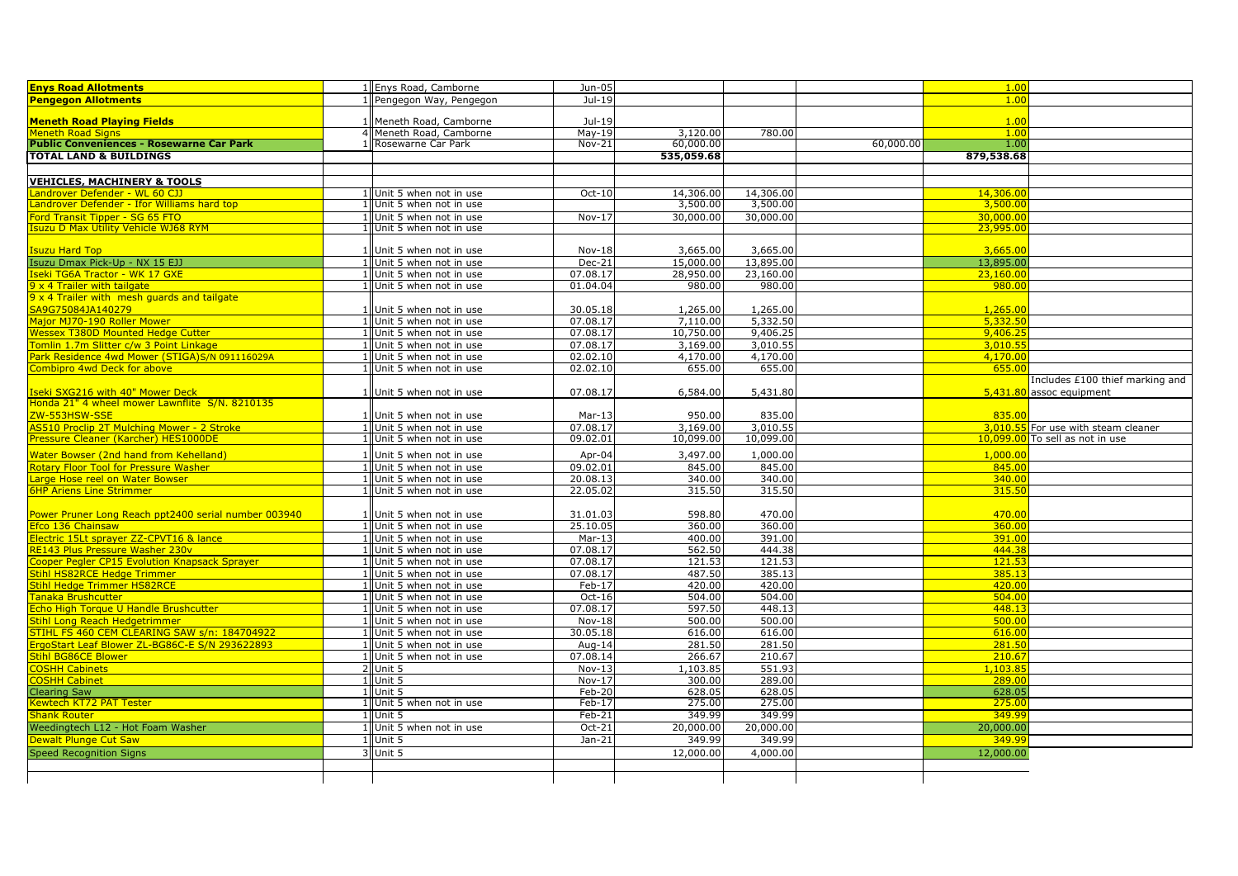| <b>Enys Road Allotments</b>                                                | 1 Enys Road, Camborne                                | Jun-05               |                      |                      |           | 1.00                 |                                     |
|----------------------------------------------------------------------------|------------------------------------------------------|----------------------|----------------------|----------------------|-----------|----------------------|-------------------------------------|
| <b>Pengegon Allotments</b>                                                 | 1 Pengegon Way, Pengegon                             | Jul-19               |                      |                      |           | 1.00                 |                                     |
|                                                                            |                                                      |                      |                      |                      |           |                      |                                     |
| <b>Meneth Road Playing Fields</b>                                          | 1   Meneth Road, Camborne                            | Jul-19               |                      |                      |           | 1.00                 |                                     |
| Meneth Road Signs                                                          | 4 Meneth Road, Camborne                              | $May-19$             | 3,120.00             | 780.00               |           | 1.00                 |                                     |
| <b>Public Conveniences - Rosewarne Car Park</b>                            | Rosewarne Car Park                                   | $Nov-21$             | 60,000.00            |                      | 60,000.00 | 1.00                 |                                     |
| <b>TOTAL LAND &amp; BUILDINGS</b>                                          |                                                      |                      | 535,059,68           |                      |           | 879,538.68           |                                     |
|                                                                            |                                                      |                      |                      |                      |           |                      |                                     |
| <b>VEHICLES, MACHINERY &amp; TOOLS</b>                                     |                                                      |                      |                      |                      |           |                      |                                     |
| androver Defender - WL 60 CJJ                                              | 1 Unit 5 when not in use                             | Oct-10               | 14,306.00            | 14,306.00            |           | 14,306.00            |                                     |
| Landrover Defender - Ifor Williams hard top                                | 1 Unit 5 when not in use                             |                      | 3,500.00             | 3,500.00             |           | 3,500.00             |                                     |
| Ford Transit Tipper - SG 65 FTO                                            | 1 Unit 5 when not in use                             | $Nov-17$             | 30,000.00            | 30,000.00            |           | 30,000.00            |                                     |
| suzu D Max Utility Vehicle WJ68 RYM                                        | 1 Unit 5 when not in use                             |                      |                      |                      |           | 23,995.00            |                                     |
|                                                                            |                                                      |                      |                      |                      |           |                      |                                     |
| Isuzu Hard Top                                                             | 1 Unit 5 when not in use                             | Nov-18               | 3,665.00             | 3,665.00             |           | 3,665.00             |                                     |
| Isuzu Dmax Pick-Up - NX 15 EJJ                                             | 1 Unit 5 when not in use                             | Dec-21               | 15,000.00            | 13,895.00            |           | 13,895.00            |                                     |
| Iseki TG6A Tractor - WK 17 GXE                                             | 1 Unit 5 when not in use                             | 07.08.17             | 28,950.00            | 23,160.00            |           | 23,160.00            |                                     |
| 9 x 4 Trailer with tailgate<br>9 x 4 Trailer with mesh guards and tailgate | 1 Unit 5 when not in use                             | 01.04.04             | 980.00               | 980.00               |           | 980.00               |                                     |
|                                                                            |                                                      |                      |                      |                      |           |                      |                                     |
| SA9G75084JA140279<br>Major MJ70-190 Roller Mower                           | 1 Unit 5 when not in use<br>1 Unit 5 when not in use | 30.05.18<br>07.08.17 | 1,265.00<br>7,110.00 | 1,265.00<br>5,332.50 |           | 1,265.00<br>5,332.50 |                                     |
| Wessex T380D Mounted Hedge Cutter                                          | 1 Unit 5 when not in use                             | 07.08.17             | 10,750.00            | 9,406.25             |           | 9,406.25             |                                     |
| omlin 1.7m Slitter c/w 3 Point Linkage                                     | 1 Unit 5 when not in use                             | 07.08.17             | 3,169.00             | 3,010.55             |           | 3,010.55             |                                     |
| Park Residence 4wd Mower (STIGA)S/N 091116029A                             | 1 Unit 5 when not in use                             | 02.02.10             | 4,170.00             | 4,170.00             |           | 4,170.00             |                                     |
| Combipro 4wd Deck for above                                                | 1 Unit 5 when not in use                             | 02.02.10             | 655.00               | 655.00               |           | 655.00               |                                     |
|                                                                            |                                                      |                      |                      |                      |           |                      | Includes £100 thief marking and     |
| seki SXG216 with 40" Mower Deck                                            | 1 Unit 5 when not in use                             | 07.08.17             | 6,584.00             | 5,431.80             |           |                      | 5,431.80 assoc equipment            |
| Honda 21" 4 wheel mower Lawnflite S/N. 8210135                             |                                                      |                      |                      |                      |           |                      |                                     |
| ZW-553HSW-SSE                                                              | 1 Unit 5 when not in use                             | $Mar-13$             | 950.00               | 835.00               |           | 835.00               |                                     |
| AS510 Proclip 2T Mulching Mower - 2 Stroke                                 | 1 Unit 5 when not in use                             | 07.08.17             | 3,169.00             | 3,010.55             |           |                      | 3,010.55 For use with steam cleaner |
| Pressure Cleaner (Karcher) HES1000DE                                       | 1 Unit 5 when not in use                             | 09.02.01             | 10,099.00            | 10,099.00            |           |                      | 10,099.00 To sell as not in use     |
| Water Bowser (2nd hand from Kehelland)                                     | 1 Unit 5 when not in use                             | Apr-04               | 3,497.00             | 1,000.00             |           | 1,000.00             |                                     |
| <b>Rotary Floor Tool for Pressure Washer</b>                               | 1 Unit 5 when not in use                             | 09.02.01             | 845.00               | 845.00               |           | 845.00               |                                     |
| arge Hose reel on Water Bowser                                             | 1 Unit 5 when not in use                             | 20.08.13             | 340.00               | 340.00               |           | 340.00               |                                     |
| <b>6HP Ariens Line Strimmer</b>                                            | 1 Unit 5 when not in use                             | 22.05.02             | 315.50               | 315.50               |           | 315.50               |                                     |
|                                                                            |                                                      |                      |                      |                      |           |                      |                                     |
| Power Pruner Long Reach ppt2400 serial number 003940                       | 1 Unit 5 when not in use                             | 31.01.03             | 598.80               | 470.00               |           | 470.00               |                                     |
| Efco 136 Chainsaw                                                          | 1 Unit 5 when not in use                             | 25.10.05             | 360.00               | 360.00               |           | 360.00               |                                     |
| Electric 15Lt sprayer ZZ-CPVT16 & lance                                    | 1 Unit 5 when not in use                             | $Mar-13$             | 400.00               | 391.00               |           | 391.00               |                                     |
| <b>RE143 Plus Pressure Washer 230v</b>                                     | 1 Unit 5 when not in use                             | 07.08.17             | 562.50               | 444.38               |           | 444.38               |                                     |
| Cooper Pegler CP15 Evolution Knapsack Spraver                              | 1 Unit 5 when not in use                             | 07.08.17             | 121.53               | 121.53               |           | 121.53               |                                     |
| itihl HS82RCE Hedge Trimmer                                                | 1 Unit 5 when not in use                             | 07.08.17             | 487.50               | 385.13               |           | 385.13               |                                     |
| Stihl Hedge Trimmer HS82RCE                                                | 1 Unit 5 when not in use                             | Feb-17               | 420.00               | 420.00               |           | 420.00               |                                     |
| Tanaka Brushcutter                                                         | 1 Unit 5 when not in use                             | Oct-16               | 504.00               | 504.00               |           | 504.00               |                                     |
| Echo High Torque U Handle Brushcutter                                      | 1 Unit 5 when not in use                             | 07.08.17             | 597.50               | 448.13               |           | 448.13               |                                     |
| <b>Stihl Long Reach Hedgetrimmer</b>                                       | 1 Unit 5 when not in use                             | Nov-18               | 500.00               | 500.00               |           | 500.00               |                                     |
| STIHL FS 460 CEM CLEARING SAW s/n: 184704922                               | 1 Unit 5 when not in use                             | 30.05.18             | 616.00               | 616.00               |           | 616.00               |                                     |
| ErgoStart Leaf Blower ZL-BG86C-E S/N 293622893                             | 1 Unit 5 when not in use                             | Aug- $14$            | 281.50               | 281.50               |           | 281.50               |                                     |
| Stihl BG86CE Blower                                                        | 1 Unit 5 when not in use                             | 07.08.14             | 266.67               | 210.67               |           | 210.67               |                                     |
| <b>COSHH Cabinets</b>                                                      | 2 Unit 5                                             | $Nov-13$             | .103.85              | 551.93               |           | 1,103.85             |                                     |
| <b>COSHH Cabinet</b>                                                       | $1$ Unit 5                                           | $Nov-17$             | 300.00               | 289.00               |           | 289.00               |                                     |
| Clearing Saw                                                               | 1 Unit 5                                             | Feb-20               | 628.05               | 628.05               |           | 628.05               |                                     |
| <u> Kewtech KT72 PAT Tester</u><br>Shank Router                            | 1 Unit 5 when not in use<br>1 Unit 5                 | Feb-17               | 275.00<br>349.99     | 275.00<br>349.99     |           | 275.00<br>349.99     |                                     |
|                                                                            |                                                      | Feb-21               |                      |                      |           |                      |                                     |
| Weedingtech L12 - Hot Foam Washer                                          | 1 Unit 5 when not in use                             | $Oct-21$             | 20,000.00            | 20,000.00            |           | 20,000.00            |                                     |
| Dewalt Plunge Cut Saw                                                      | 1 Unit 5                                             | $Jan-21$             | 349.99               | 349.99               |           | 349.99               |                                     |
| <b>Speed Recognition Signs</b>                                             | 3 Unit 5                                             |                      | 12,000.00            | 4,000.00             |           | 12,000.00            |                                     |
|                                                                            |                                                      |                      |                      |                      |           |                      |                                     |